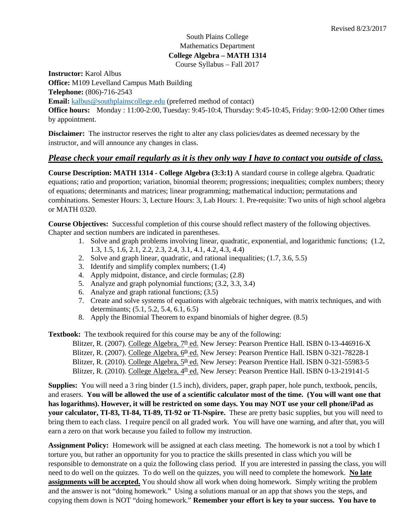## South Plains College Mathematics Department **College Algebra – MATH 1314** Course Syllabus – Fall 2017

**Instructor:** Karol Albus

**Office:** M109 Levelland Campus Math Building

**Telephone:** (806)-716-2543

**Email:** [kalbus@southplainscollege.edu](mailto:kalbus@southplainscollege.edu) (preferred method of contact)

**Office hours:** Monday : 11:00-2:00, Tuesday: 9:45-10:4, Thursday: 9:45-10:45, Friday: 9:00-12:00 Other times by appointment.

**Disclaimer:** The instructor reserves the right to alter any class policies/dates as deemed necessary by the instructor, and will announce any changes in class.

# *Please check your email regularly as it is they only way I have to contact you outside of class.*

**Course Description: MATH 1314 - College Algebra (3:3:1)** A standard course in college algebra. Quadratic equations; ratio and proportion; variation, binomial theorem; progressions; inequalities; complex numbers; theory of equations; determinants and matrices; linear programming; mathematical induction; permutations and combinations. Semester Hours: 3, Lecture Hours: 3, Lab Hours: 1. Pre-requisite: Two units of high school algebra or MATH 0320.

**Course Objectives:** Successful completion of this course should reflect mastery of the following objectives. Chapter and section numbers are indicated in parentheses.

- 1. Solve and graph problems involving linear, quadratic, exponential, and logarithmic functions; (1.2, 1.3, 1.5, 1.6, 2.1, 2.2, 2.3, 2.4, 3.1, 4.1, 4.2, 4.3, 4.4)
- 2. Solve and graph linear, quadratic, and rational inequalities; (1.7, 3.6, 5.5)
- 3. Identify and simplify complex numbers; (1.4)
- 4. Apply midpoint, distance, and circle formulas; (2.8)
- 5. Analyze and graph polynomial functions; (3.2, 3.3, 3.4)
- 6. Analyze and graph rational functions; (3.5)
- 7. Create and solve systems of equations with algebraic techniques, with matrix techniques, and with determinants; (5.1, 5.2, 5.4, 6.1, 6.5)
- 8. Apply the Binomial Theorem to expand binomials of higher degree. (8.5)

**Textbook:** The textbook required for this course may be any of the following:

Blitzer, R. (2007). College Algebra, 7<sup>th</sup> ed. New Jersey: Pearson Prentice Hall. ISBN 0-13-446916-X Blitzer, R. (2007). College Algebra, 6<sup>th</sup> ed. New Jersey: Pearson Prentice Hall. ISBN 0-321-78228-1 Blitzer, R. (2010). College Algebra,  $5<sup>th</sup>$  ed. New Jersey: Pearson Prentice Hall. ISBN 0-321-55983-5 Blitzer, R. (2010). College Algebra,  $4<sup>th</sup>$  ed. New Jersey: Pearson Prentice Hall. ISBN 0-13-219141-5

**Supplies:** You will need a 3 ring binder (1.5 inch), dividers, paper, graph paper, hole punch, textbook, pencils, and erasers. **You will be allowed the use of a scientific calculator most of the time. (You will want one that has logarithms). However, it will be restricted on some days. You may NOT use your cell phone/iPad as your calculator, TI-83, TI-84, TI-89, TI-92 or TI-Nspire.** These are pretty basic supplies, but you will need to bring them to each class. I require pencil on all graded work. You will have one warning, and after that, you will earn a zero on that work because you failed to follow my instruction.

**Assignment Policy:** Homework will be assigned at each class meeting. The homework is not a tool by which I torture you, but rather an opportunity for you to practice the skills presented in class which you will be responsible to demonstrate on a quiz the following class period. If you are interested in passing the class, you will need to do well on the quizzes. To do well on the quizzes, you will need to complete the homework. **No late assignments will be accepted.** You should show all work when doing homework. Simply writing the problem and the answer is not "doing homework." Using a solutions manual or an app that shows you the steps, and copying them down is NOT "doing homework." **Remember your effort is key to your success. You have to**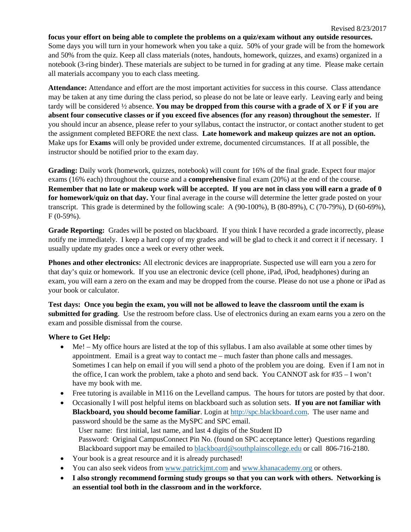### **focus your effort on being able to complete the problems on a quiz/exam without any outside resources.**

Some days you will turn in your homework when you take a quiz. 50% of your grade will be from the homework and 50% from the quiz. Keep all class materials (notes, handouts, homework, quizzes, and exams) organized in a notebook (3-ring binder). These materials are subject to be turned in for grading at any time. Please make certain all materials accompany you to each class meeting.

**Attendance:** Attendance and effort are the most important activities for success in this course. Class attendance may be taken at any time during the class period, so please do not be late or leave early. Leaving early and being tardy will be considered ½ absence. **You may be dropped from this course with a grade of X or F if you are absent four consecutive classes or if you exceed five absences (for any reason) throughout the semester.** If you should incur an absence, please refer to your syllabus, contact the instructor, or contact another student to get the assignment completed BEFORE the next class. **Late homework and makeup quizzes are not an option.** Make ups for **Exams** will only be provided under extreme, documented circumstances. If at all possible, the instructor should be notified prior to the exam day.

**Grading:** Daily work (homework, quizzes, notebook) will count for 16% of the final grade. Expect four major exams (16% each) throughout the course and a **comprehensive** final exam (20%) at the end of the course. **Remember that no late or makeup work will be accepted. If you are not in class you will earn a grade of 0 for homework/quiz on that day.** Your final average in the course will determine the letter grade posted on your transcript. This grade is determined by the following scale: A (90-100%), B (80-89%), C (70-79%), D (60-69%),  $F(0-59\%)$ .

**Grade Reporting:** Grades will be posted on blackboard. If you think I have recorded a grade incorrectly, please notify me immediately. I keep a hard copy of my grades and will be glad to check it and correct it if necessary. I usually update my grades once a week or every other week.

**Phones and other electronics:** All electronic devices are inappropriate. Suspected use will earn you a zero for that day's quiz or homework. If you use an electronic device (cell phone, iPad, iPod, headphones) during an exam, you will earn a zero on the exam and may be dropped from the course. Please do not use a phone or iPad as your book or calculator.

**Test days: Once you begin the exam, you will not be allowed to leave the classroom until the exam is submitted for grading**. Use the restroom before class. Use of electronics during an exam earns you a zero on the exam and possible dismissal from the course.

### **Where to Get Help:**

- Me! My office hours are listed at the top of this syllabus. I am also available at some other times by appointment. Email is a great way to contact me – much faster than phone calls and messages. Sometimes I can help on email if you will send a photo of the problem you are doing. Even if I am not in the office, I can work the problem, take a photo and send back. You CANNOT ask for #35 – I won't have my book with me.
- Free tutoring is available in M116 on the Levelland campus. The hours for tutors are posted by that door.
- Occasionally I will post helpful items on blackboard such as solution sets. **If you are not familiar with Blackboard, you should become familiar**. Login a[t http://spc.blackboard.com.](http://spc.blackboard.com/) The user name and password should be the same as the MySPC and SPC email.

User name: first initial, last name, and last 4 digits of the Student ID Password: Original CampusConnect Pin No. (found on SPC acceptance letter) Questions regarding Blackboard support may be emailed to [blackboard@southplainscollege.edu](mailto:blackboard@southplainscollege.edu) or call 806-716-2180.

- Your book is a great resource and it is already purchased!
- You can also seek videos from [www.patrickjmt.com](http://www.patrickjmt.com/) and [www.khanacademy.org](http://www.khanacademy.org/) or others.
- **I also strongly recommend forming study groups so that you can work with others. Networking is an essential tool both in the classroom and in the workforce.**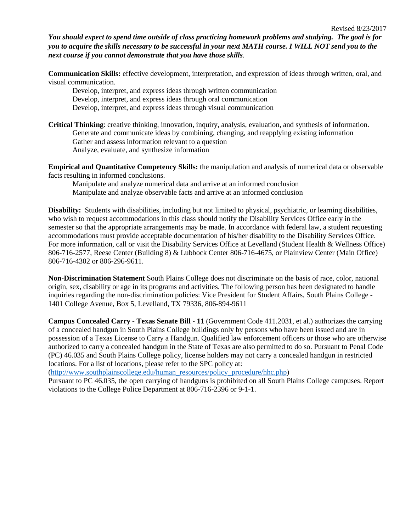*You should expect to spend time outside of class practicing homework problems and studying. The goal is for you to acquire the skills necessary to be successful in your next MATH course. I WILL NOT send you to the next course if you cannot demonstrate that you have those skills*.

**Communication Skills:** effective development, interpretation, and expression of ideas through written, oral, and visual communication.

Develop, interpret, and express ideas through written communication Develop, interpret, and express ideas through oral communication Develop, interpret, and express ideas through visual communication

**Critical Thinking**: creative thinking, innovation, inquiry, analysis, evaluation, and synthesis of information. Generate and communicate ideas by combining, changing, and reapplying existing information Gather and assess information relevant to a question Analyze, evaluate, and synthesize information

**Empirical and Quantitative Competency Skills:** the manipulation and analysis of numerical data or observable facts resulting in informed conclusions.

Manipulate and analyze numerical data and arrive at an informed conclusion Manipulate and analyze observable facts and arrive at an informed conclusion

**Disability:** Students with disabilities, including but not limited to physical, psychiatric, or learning disabilities, who wish to request accommodations in this class should notify the Disability Services Office early in the semester so that the appropriate arrangements may be made. In accordance with federal law, a student requesting accommodations must provide acceptable documentation of his/her disability to the Disability Services Office. For more information, call or visit the Disability Services Office at Levelland (Student Health & Wellness Office) 806-716-2577, Reese Center (Building 8) & Lubbock Center 806-716-4675, or Plainview Center (Main Office) 806-716-4302 or 806-296-9611.

**Non-Discrimination Statement** South Plains College does not discriminate on the basis of race, color, national origin, sex, disability or age in its programs and activities. The following person has been designated to handle inquiries regarding the non-discrimination policies: Vice President for Student Affairs, South Plains College - 1401 College Avenue, Box 5, Levelland, TX 79336, 806-894-9611

**Campus Concealed Carry - Texas Senate Bill - 11** (Government Code 411.2031, et al.) authorizes the carrying of a concealed handgun in South Plains College buildings only by persons who have been issued and are in possession of a Texas License to Carry a Handgun. Qualified law enforcement officers or those who are otherwise authorized to carry a concealed handgun in the State of Texas are also permitted to do so. Pursuant to Penal Code (PC) 46.035 and South Plains College policy, license holders may not carry a concealed handgun in restricted locations. For a list of locations, please refer to the SPC policy at:

[\(http://www.southplainscollege.edu/human\\_resources/policy\\_procedure/hhc.php\)](http://www.southplainscollege.edu/human_resources/policy_procedure/hhc.php)

Pursuant to PC 46.035, the open carrying of handguns is prohibited on all South Plains College campuses. Report violations to the College Police Department at 806-716-2396 or 9-1-1.